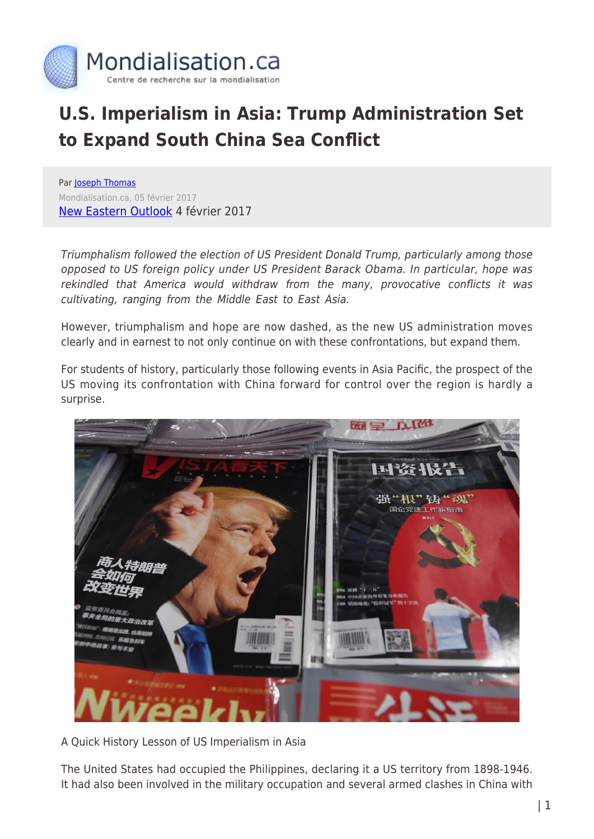

## **U.S. Imperialism in Asia: Trump Administration Set to Expand South China Sea Conflict**

Par [Joseph Thomas](https://www.mondialisation.ca/author/joseph-thomas) Mondialisation.ca, 05 février 2017 [New Eastern Outlook](http://journal-neo.org/2017/02/04/us-set-to-expand-south-china-sea-conflict/) 4 février 2017

Triumphalism followed the election of US President Donald Trump, particularly among those opposed to US foreign policy under US President Barack Obama. In particular, hope was rekindled that America would withdraw from the many, provocative conflicts it was cultivating, ranging from the Middle East to East Asia.

However, triumphalism and hope are now dashed, as the new US administration moves clearly and in earnest to not only continue on with these confrontations, but expand them.

For students of history, particularly those following events in Asia Pacific, the prospect of the US moving its confrontation with China forward for control over the region is hardly a surprise.



A Quick History Lesson of US Imperialism in Asia

The United States had occupied the Philippines, declaring it a US territory from 1898-1946. It had also been involved in the military occupation and several armed clashes in China with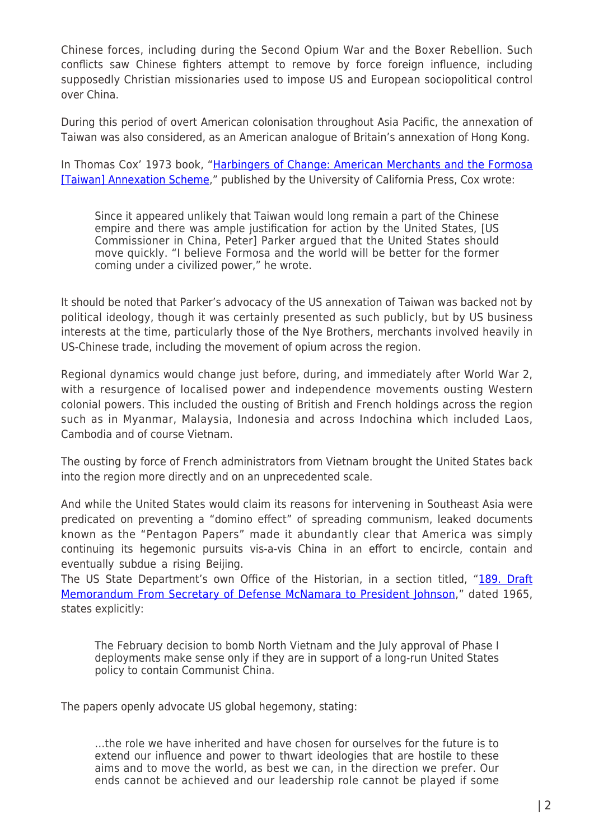Chinese forces, including during the Second Opium War and the Boxer Rebellion. Such conflicts saw Chinese fighters attempt to remove by force foreign influence, including supposedly Christian missionaries used to impose US and European sociopolitical control over China.

During this period of overt American colonisation throughout Asia Pacific, the annexation of Taiwan was also considered, as an American analogue of Britain's annexation of Hong Kong.

In Thomas Cox' 1973 book, "[Harbingers of Change: American Merchants and the Formosa](https://www.jstor.org/stable/3638465?seq=1#page_scan_tab_contents) [\[Taiwan\] Annexation Scheme,](https://www.jstor.org/stable/3638465?seq=1#page_scan_tab_contents)" published by the University of California Press, Cox wrote:

Since it appeared unlikely that Taiwan would long remain a part of the Chinese empire and there was ample justification for action by the United States, [US Commissioner in China, Peter] Parker argued that the United States should move quickly. "I believe Formosa and the world will be better for the former coming under a civilized power," he wrote.

It should be noted that Parker's advocacy of the US annexation of Taiwan was backed not by political ideology, though it was certainly presented as such publicly, but by US business interests at the time, particularly those of the Nye Brothers, merchants involved heavily in US-Chinese trade, including the movement of opium across the region.

Regional dynamics would change just before, during, and immediately after World War 2, with a resurgence of localised power and independence movements ousting Western colonial powers. This included the ousting of British and French holdings across the region such as in Myanmar, Malaysia, Indonesia and across Indochina which included Laos, Cambodia and of course Vietnam.

The ousting by force of French administrators from Vietnam brought the United States back into the region more directly and on an unprecedented scale.

And while the United States would claim its reasons for intervening in Southeast Asia were predicated on preventing a "domino effect" of spreading communism, leaked documents known as the "Pentagon Papers" made it abundantly clear that America was simply continuing its hegemonic pursuits vis-a-vis China in an effort to encircle, contain and eventually subdue a rising Beijing.

The US State Department's own Office of the Historian, in a section titled, "[189. Draft](https://history.state.gov/historicaldocuments/frus1964-68v03/d189) [Memorandum From Secretary of Defense McNamara to President Johnson,](https://history.state.gov/historicaldocuments/frus1964-68v03/d189)" dated 1965, states explicitly:

The February decision to bomb North Vietnam and the July approval of Phase I deployments make sense only if they are in support of a long-run United States policy to contain Communist China.

The papers openly advocate US global hegemony, stating:

…the role we have inherited and have chosen for ourselves for the future is to extend our influence and power to thwart ideologies that are hostile to these aims and to move the world, as best we can, in the direction we prefer. Our ends cannot be achieved and our leadership role cannot be played if some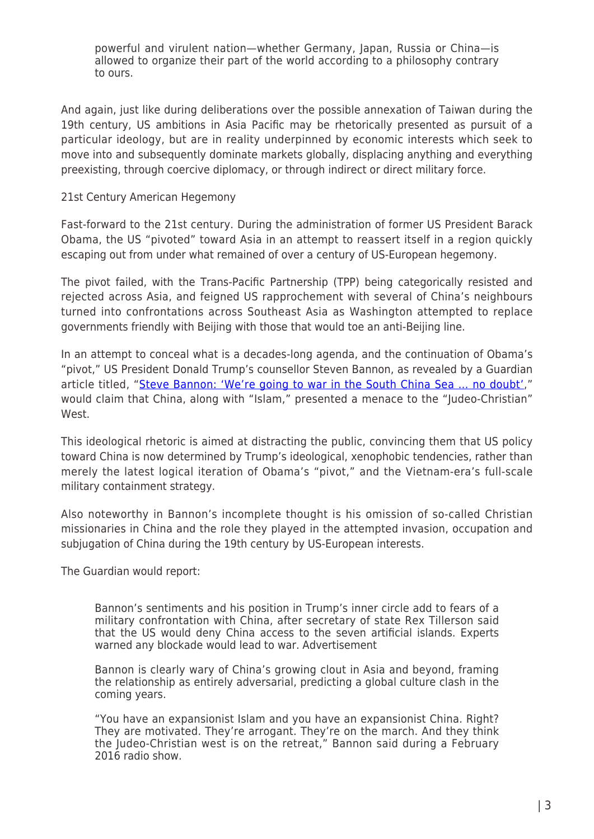powerful and virulent nation—whether Germany, Japan, Russia or China—is allowed to organize their part of the world according to a philosophy contrary to ours.

And again, just like during deliberations over the possible annexation of Taiwan during the 19th century, US ambitions in Asia Pacific may be rhetorically presented as pursuit of a particular ideology, but are in reality underpinned by economic interests which seek to move into and subsequently dominate markets globally, displacing anything and everything preexisting, through coercive diplomacy, or through indirect or direct military force.

## 21st Century American Hegemony

Fast-forward to the 21st century. During the administration of former US President Barack Obama, the US "pivoted" toward Asia in an attempt to reassert itself in a region quickly escaping out from under what remained of over a century of US-European hegemony.

The pivot failed, with the Trans-Pacific Partnership (TPP) being categorically resisted and rejected across Asia, and feigned US rapprochement with several of China's neighbours turned into confrontations across Southeast Asia as Washington attempted to replace governments friendly with Beijing with those that would toe an anti-Beijing line.

In an attempt to conceal what is a decades-long agenda, and the continuation of Obama's "pivot," US President Donald Trump's counsellor Steven Bannon, as revealed by a Guardian article titled, "Steve Bannon: 'We're going to war in the South China Sea ... no doubt'," would claim that China, along with "Islam," presented a menace to the "Judeo-Christian" West.

This ideological rhetoric is aimed at distracting the public, convincing them that US policy toward China is now determined by Trump's ideological, xenophobic tendencies, rather than merely the latest logical iteration of Obama's "pivot," and the Vietnam-era's full-scale military containment strategy.

Also noteworthy in Bannon's incomplete thought is his omission of so-called Christian missionaries in China and the role they played in the attempted invasion, occupation and subjugation of China during the 19th century by US-European interests.

The Guardian would report:

Bannon's sentiments and his position in Trump's inner circle add to fears of a military confrontation with China, after secretary of state Rex Tillerson said that the US would deny China access to the seven artificial islands. Experts warned any blockade would lead to war. Advertisement

Bannon is clearly wary of China's growing clout in Asia and beyond, framing the relationship as entirely adversarial, predicting a global culture clash in the coming years.

"You have an expansionist Islam and you have an expansionist China. Right? They are motivated. They're arrogant. They're on the march. And they think the Judeo-Christian west is on the retreat," Bannon said during a February 2016 radio show.